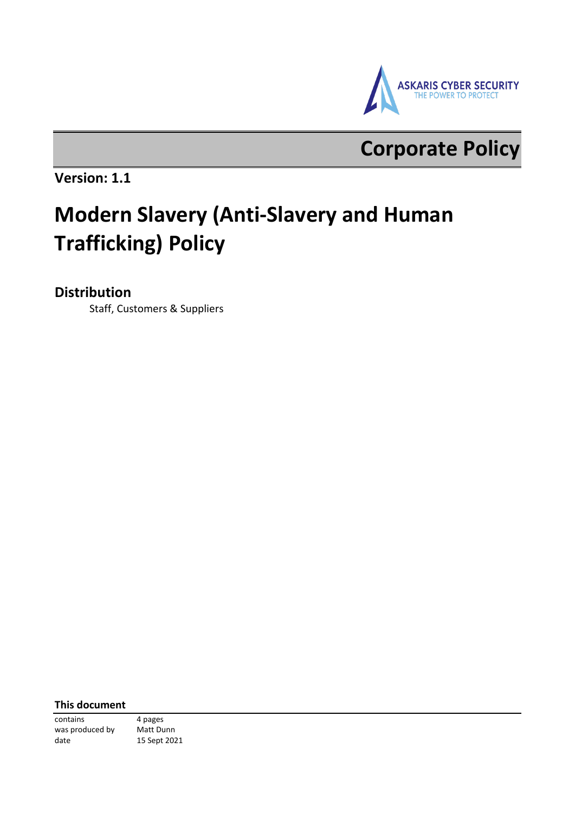

## **Corporate Policy**

**Version: 1.1** 

# **Modern Slavery (Anti-Slavery and Human Trafficking) Policy**

### **Distribution**

Staff, Customers & Suppliers

**This document**

contains 4 pages was produced by Matt Dunn date 15 Sept 2021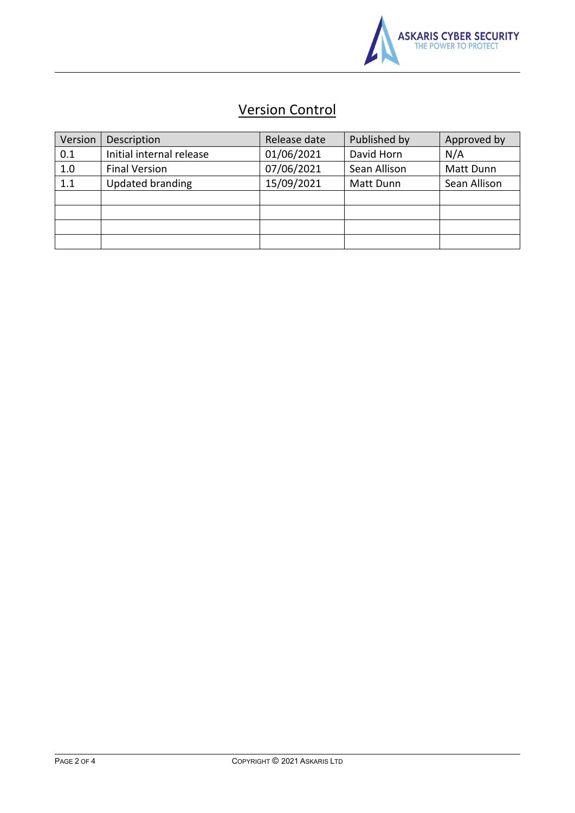

### Version Control

| Version | Description              | Release date | Published by | Approved by  |
|---------|--------------------------|--------------|--------------|--------------|
| 0.1     | Initial internal release | 01/06/2021   | David Horn   | N/A          |
| 1.0     | <b>Final Version</b>     | 07/06/2021   | Sean Allison | Matt Dunn    |
| 1.1     | <b>Updated branding</b>  | 15/09/2021   | Matt Dunn    | Sean Allison |
|         |                          |              |              |              |
|         |                          |              |              |              |
|         |                          |              |              |              |
|         |                          |              |              |              |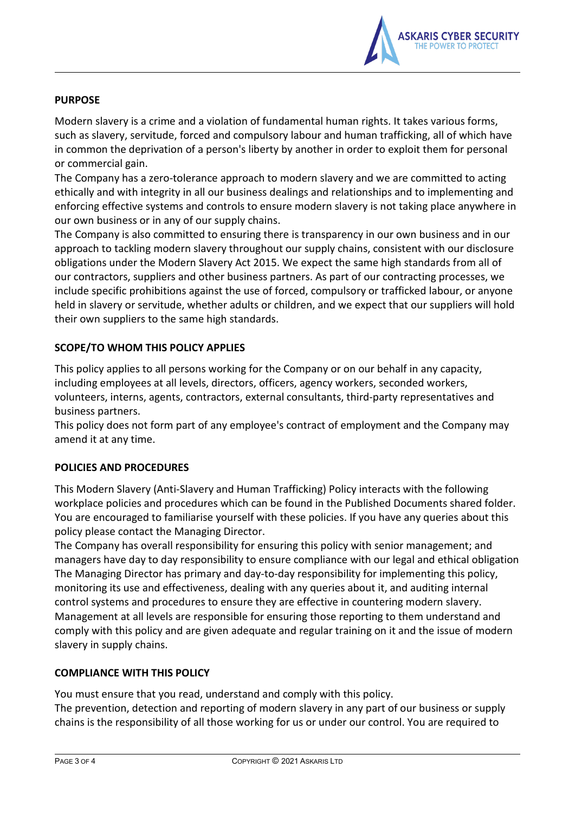

#### **PURPOSE**

Modern slavery is a crime and a violation of fundamental human rights. It takes various forms, such as slavery, servitude, forced and compulsory labour and human trafficking, all of which have in common the deprivation of a person's liberty by another in order to exploit them for personal or commercial gain.

The Company has a zero-tolerance approach to modern slavery and we are committed to acting ethically and with integrity in all our business dealings and relationships and to implementing and enforcing effective systems and controls to ensure modern slavery is not taking place anywhere in our own business or in any of our supply chains.

The Company is also committed to ensuring there is transparency in our own business and in our approach to tackling modern slavery throughout our supply chains, consistent with our disclosure obligations under the Modern Slavery Act 2015. We expect the same high standards from all of our contractors, suppliers and other business partners. As part of our contracting processes, we include specific prohibitions against the use of forced, compulsory or trafficked labour, or anyone held in slavery or servitude, whether adults or children, and we expect that our suppliers will hold their own suppliers to the same high standards.

#### **SCOPE/TO WHOM THIS POLICY APPLIES**

This policy applies to all persons working for the Company or on our behalf in any capacity, including employees at all levels, directors, officers, agency workers, seconded workers, volunteers, interns, agents, contractors, external consultants, third-party representatives and business partners.

This policy does not form part of any employee's contract of employment and the Company may amend it at any time.

#### **POLICIES AND PROCEDURES**

This Modern Slavery (Anti-Slavery and Human Trafficking) Policy interacts with the following workplace policies and procedures which can be found in the Published Documents shared folder. You are encouraged to familiarise yourself with these policies. If you have any queries about this policy please contact the Managing Director.

The Company has overall responsibility for ensuring this policy with senior management; and managers have day to day responsibility to ensure compliance with our legal and ethical obligation The Managing Director has primary and day-to-day responsibility for implementing this policy, monitoring its use and effectiveness, dealing with any queries about it, and auditing internal control systems and procedures to ensure they are effective in countering modern slavery. Management at all levels are responsible for ensuring those reporting to them understand and comply with this policy and are given adequate and regular training on it and the issue of modern slavery in supply chains.

#### **COMPLIANCE WITH THIS POLICY**

You must ensure that you read, understand and comply with this policy. The prevention, detection and reporting of modern slavery in any part of our business or supply chains is the responsibility of all those working for us or under our control. You are required to